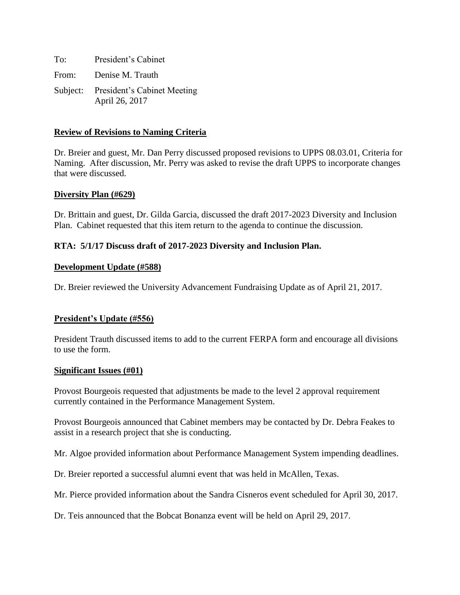| To: | President's Cabinet                                    |
|-----|--------------------------------------------------------|
|     | From: Denise M. Trauth                                 |
|     | Subject: President's Cabinet Meeting<br>April 26, 2017 |

## **Review of Revisions to Naming Criteria**

Dr. Breier and guest, Mr. Dan Perry discussed proposed revisions to UPPS 08.03.01, Criteria for Naming. After discussion, Mr. Perry was asked to revise the draft UPPS to incorporate changes that were discussed.

### **Diversity Plan (#629)**

Dr. Brittain and guest, Dr. Gilda Garcia, discussed the draft 2017-2023 Diversity and Inclusion Plan. Cabinet requested that this item return to the agenda to continue the discussion.

## **RTA: 5/1/17 Discuss draft of 2017-2023 Diversity and Inclusion Plan.**

#### **Development Update (#588)**

Dr. Breier reviewed the University Advancement Fundraising Update as of April 21, 2017.

## **President's Update (#556)**

President Trauth discussed items to add to the current FERPA form and encourage all divisions to use the form.

#### **Significant Issues (#01)**

Provost Bourgeois requested that adjustments be made to the level 2 approval requirement currently contained in the Performance Management System.

Provost Bourgeois announced that Cabinet members may be contacted by Dr. Debra Feakes to assist in a research project that she is conducting.

Mr. Algoe provided information about Performance Management System impending deadlines.

Dr. Breier reported a successful alumni event that was held in McAllen, Texas.

Mr. Pierce provided information about the Sandra Cisneros event scheduled for April 30, 2017.

Dr. Teis announced that the Bobcat Bonanza event will be held on April 29, 2017.